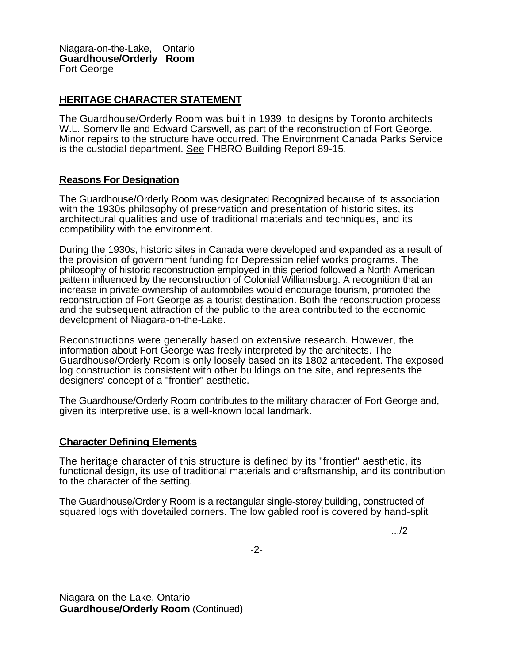Niagara-on-the-Lake, Ontario **Guardhouse/Orderly Room**  Fort George

## **HERITAGE CHARACTER STATEMENT**

The Guardhouse/Orderly Room was built in 1939, to designs by Toronto architects W.L. Somerville and Edward Carswell, as part of the reconstruction of Fort George. Minor repairs to the structure have occurred. The Environment Canada Parks Service is the custodial department. See FHBRO Building Report 89-15.

## **Reasons For Designation**

The Guardhouse/Orderly Room was designated Recognized because of its association with the 1930s philosophy of preservation and presentation of historic sites, its architectural qualities and use of traditional materials and techniques, and its compatibility with the environment.

During the 1930s, historic sites in Canada were developed and expanded as a result of the provision of government funding for Depression relief works programs. The philosophy of historic reconstruction employed in this period followed a North American pattern influenced by the reconstruction of Colonial Williamsburg. A recognition that an increase in private ownership of automobiles would encourage tourism, promoted the reconstruction of Fort George as a tourist destination. Both the reconstruction process and the subsequent attraction of the public to the area contributed to the economic development of Niagara-on-the-Lake.

Reconstructions were generally based on extensive research. However, the information about Fort George was freely interpreted by the architects. The Guardhouse/Orderly Room is only loosely based on its 1802 antecedent. The exposed log construction is consistent with other buildings on the site, and represents the designers' concept of a "frontier" aesthetic.

The Guardhouse/Orderly Room contributes to the military character of Fort George and, given its interpretive use, is a well-known local landmark.

## **Character Defining Elements**

The heritage character of this structure is defined by its "frontier" aesthetic, its functional design, its use of traditional materials and craftsmanship, and its contribution to the character of the setting.

The Guardhouse/Orderly Room is a rectangular single-storey building, constructed of squared logs with dovetailed corners. The low gabled roof is covered by hand-split

.../2

-2-

Niagara-on-the-Lake, Ontario **Guardhouse/Orderly Room** (Continued)